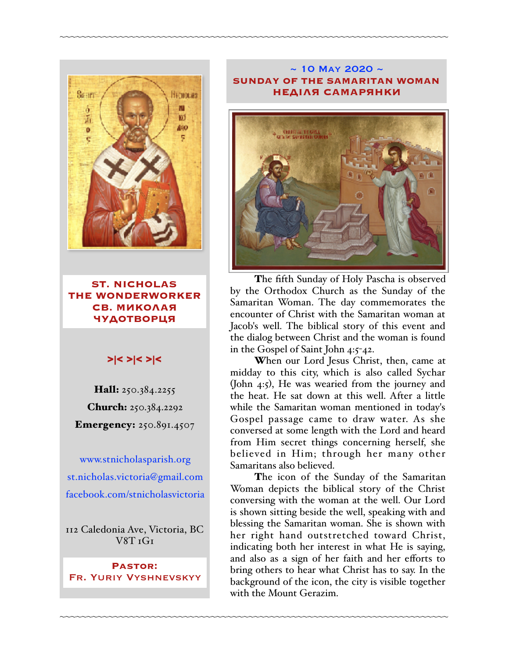

**ST. NICHOLAS THE WONDERWORKER СВ. МИКОЛАЯ ЧУДОТВОРЦЯ**

#### >|< >|< >|<

Hall: 250.384.2255 Church: 250.384.2292 **Emergency:** 250.891.4507

[www.stnicholasparish.org](http://www.stnicholasparish.org) [st.nicholas.victoria@gmail.com](mailto:st.nicholas.victoria@gmail.com) [facebook.com/stnicholasvictoria](http://facebook.com/stnicholasvictoria)

112 Caledonia Ave, Victoria, BC  $V8T T$ 

**Pastor:**  Fr. Yuriy Vyshnevskyy

#### $\sim$  10 May 2020  $\sim$ **SUNDAY OF THE SAMARITAN WOMAN НЕДІЛЯ САМАРЯНКИ**

~~~~~~~~~~~~~~~~~~~~~~~~~~~~~~~~~~~~~~~~~~~~~~~~~~~~~~~~~~~~~~~~~~~~~~~~



The fifth Sunday of Holy Pascha is observed by the Orthodox Church as the Sunday of the Samaritan Woman. The day commemorates the encounter of Christ with the Samaritan woman at Jacob's well. The biblical story of this event and the dialog between Christ and the woman is found in the Gospel of Saint John 4:5-42.

When our Lord Jesus Christ, then, came at midday to this city, which is also called Sychar (John 4:5), He was wearied from the journey and the heat. He sat down at this well. After a little while the Samaritan woman mentioned in today's Gospel passage came to draw water. As she conversed at some length with the Lord and heard from Him secret things concerning herself, she believed in Him; through her many other Samaritans also believed.

The icon of the Sunday of the Samaritan Woman depicts the biblical story of the Christ conversing with the woman at the well. Our Lord is shown sitting beside the well, speaking with and blessing the Samaritan woman. She is shown with her right hand outstretched toward Christ, indicating both her interest in what He is saying, and also as a sign of her faith and her efforts to bring others to hear what Christ has to say. In the background of the icon, the city is visible together with the Mount Gerazim.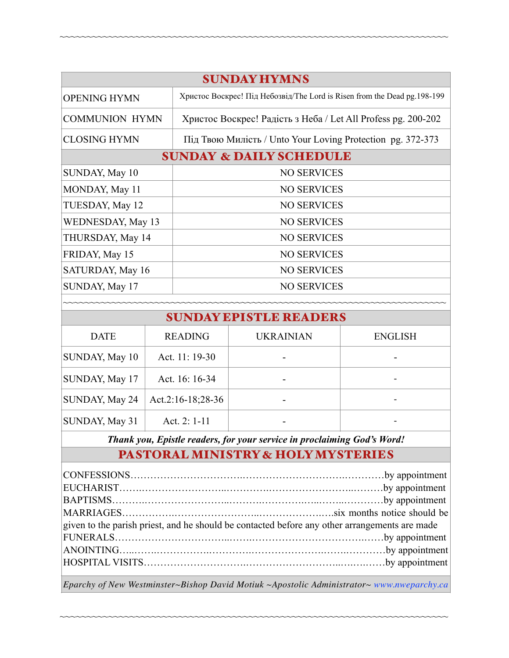| <b>SUNDAY HYMNS</b>                |                                                                           |  |  |  |
|------------------------------------|---------------------------------------------------------------------------|--|--|--|
| <b>OPENING HYMN</b>                | Христос Воскрес! Під Небозвід/The Lord is Risen from the Dead pg. 198-199 |  |  |  |
| <b>COMMUNION HYMN</b>              | Христос Воскрес! Радість з Неба / Let All Profess pg. 200-202             |  |  |  |
| <b>CLOSING HYMN</b>                | Під Твою Милість / Unto Your Loving Protection pg. 372-373                |  |  |  |
| <b>SUNDAY &amp; DAILY SCHEDULE</b> |                                                                           |  |  |  |
| SUNDAY, May 10                     | <b>NO SERVICES</b>                                                        |  |  |  |
| MONDAY, May 11                     | <b>NO SERVICES</b>                                                        |  |  |  |
| TUESDAY, May 12                    | <b>NO SERVICES</b>                                                        |  |  |  |
| WEDNESDAY, May 13                  | <b>NO SERVICES</b>                                                        |  |  |  |
| THURSDAY, May 14                   | <b>NO SERVICES</b>                                                        |  |  |  |
| FRIDAY, May 15                     | <b>NO SERVICES</b>                                                        |  |  |  |
| SATURDAY, May 16                   | <b>NO SERVICES</b>                                                        |  |  |  |
| SUNDAY, May 17                     | <b>NO SERVICES</b>                                                        |  |  |  |

~~~~~~~~~~~~~~~~~~~~~~~~~~~~~~~~~~~~~~~~~~~~~~~~~~~~~~~~~~~~~~~~~~~~~~~~

| <b>SUNDAY EPISTLE READERS</b> |                   |                  |                |  |
|-------------------------------|-------------------|------------------|----------------|--|
| <b>DATE</b>                   | <b>READING</b>    | <b>UKRAINIAN</b> | <b>ENGLISH</b> |  |
| SUNDAY, May 10                | Act. $11:19-30$   |                  |                |  |
| SUNDAY, May 17                | Act. 16: 16-34    |                  |                |  |
| SUNDAY, May 24                | Act.2:16-18;28-36 |                  |                |  |
| SUNDAY, May 31                | Act. $2: 1-11$    |                  |                |  |

~~~~~~~~~~~~~~~~~~~~~~~~~~~~~~

*Thank you, Epistle readers, for your service in proclaiming God's Word!*

# PASTORAL MINISTRY & HOLY MYSTERIES

| given to the parish priest, and he should be contacted before any other arrangements are made |  |  |
|-----------------------------------------------------------------------------------------------|--|--|
|                                                                                               |  |  |
|                                                                                               |  |  |
|                                                                                               |  |  |
|                                                                                               |  |  |

*Eparchy of New Westminster~Bishop David Motiuk ~Apostolic Administrator~ [www.nweparchy.ca](http://www.nweparchy.ca)*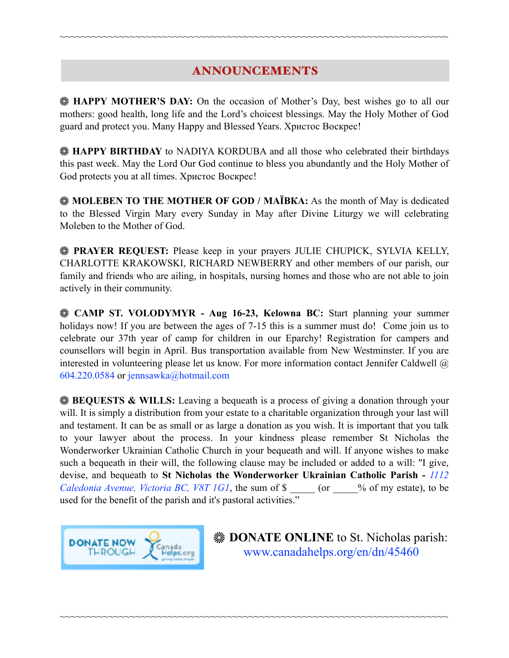# ANNOUNCEMENTS

~~~~~~~~~~~~~~~~~~~~~~~~~~~~~~~~~~~~~~~~~~~~~~~~~~~~~~~~~~~~~~~~~~~~~~~~

**HAPPY MOTHER'S DAY:** On the occasion of Mother's Day, best wishes go to all our mothers: good health, long life and the Lord's choicest blessings. May the Holy Mother of God guard and protect you. Many Happy and Blessed Years. Христос Воскрес!

**HAPPY BIRTHDAY** to NADIYA KORDUBA and all those who celebrated their birthdays this past week. May the Lord Our God continue to bless you abundantly and the Holy Mother of God protects you at all times. Христос Воскрес!

**WE MOLEBEN TO THE MOTHER OF GOD / MAÏBKA:** As the month of May is dedicated to the Blessed Virgin Mary every Sunday in May after Divine Liturgy we will celebrating Moleben to the Mother of God.

**EXAMPRAYER REQUEST:** Please keep in your prayers JULIE CHUPICK, SYLVIA KELLY, CHARLOTTE KRAKOWSKI, RICHARD NEWBERRY and other members of our parish, our family and friends who are ailing, in hospitals, nursing homes and those who are not able to join actively in their community.

 **CAMP ST. VOLODYMYR - Aug 16-23, Kelowna BC:** Start planning your summer holidays now! If you are between the ages of 7-15 this is a summer must do! Come join us to celebrate our 37th year of camp for children in our Eparchy! Registration for campers and counsellors will begin in April. Bus transportation available from New Westminster. If you are interested in volunteering please let us know. For more information contact Jennifer Caldwell @ 604.220.0584 or [jennsawka@hotmail.com](mailto:jennsawka@hotmail.com)

**BEQUESTS & WILLS:** Leaving a bequeath is a process of giving a donation through your will. It is simply a distribution from your estate to a charitable organization through your last will and testament. It can be as small or as large a donation as you wish. It is important that you talk to your lawyer about the process. In your kindness please remember St Nicholas the Wonderworker Ukrainian Catholic Church in your bequeath and will. If anyone wishes to make such a bequeath in their will, the following clause may be included or added to a will: "I give, devise, and bequeath to **St Nicholas the Wonderworker Ukrainian Catholic Parish -** *1112 Caledonia Avenue, Victoria BC, V8T 1G1*, the sum of \$ \_\_\_\_\_ (or \_\_\_\_% of my estate), to be used for the benefit of the parish and it's pastoral activities."

~~~~~~~~~~~~~~~~~~~~~~~~~~~~~~~~~~~~~~~~~~~~~~~~~~~~~~~~~~~~~~~~~~~~~~~~



*S* DONATE ONLINE to St. Nicholas parish: [www.canadahelps.org/en/dn/45460](http://www.canadahelps.org/en/dn/45460)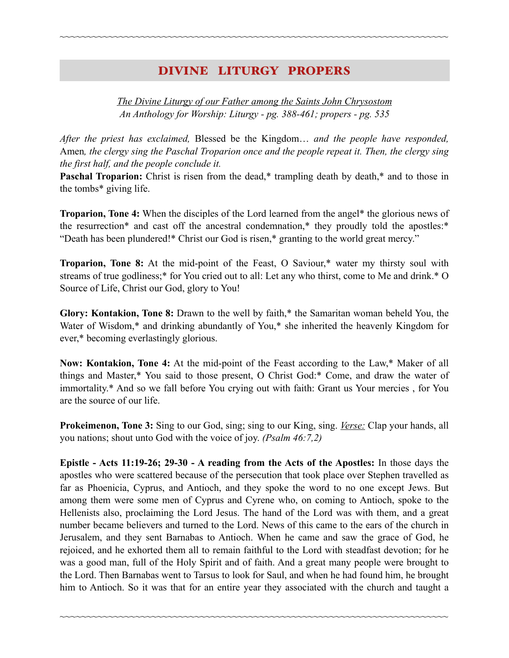#### DIVINE LITURGY PROPERS

~~~~~~~~~~~~~~~~~~~~~~~~~~~~~~~~~~~~~~~~~~~~~~~~~~~~~~~~~~~~~~~~~~~~~~~~

*The Divine Liturgy of our Father among the Saints John Chrysostom An Anthology for Worship: Liturgy - pg. 388-461; propers - pg. 535* 

*After the priest has exclaimed,* Blessed be the Kingdom… *and the people have responded,*  Amen*, the clergy sing the Paschal Troparion once and the people repeat it. Then, the clergy sing the first half, and the people conclude it.*

**Paschal Troparion:** Christ is risen from the dead,\* trampling death by death,\* and to those in the tombs\* giving life.

**Troparion, Tone 4:** When the disciples of the Lord learned from the angel\* the glorious news of the resurrection\* and cast off the ancestral condemnation,\* they proudly told the apostles:\* "Death has been plundered!\* Christ our God is risen,\* granting to the world great mercy."

**Troparion, Tone 8:** At the mid-point of the Feast, O Saviour,\* water my thirsty soul with streams of true godliness;\* for You cried out to all: Let any who thirst, come to Me and drink.\* O Source of Life, Christ our God, glory to You!

**Glory: Kontakion, Tone 8:** Drawn to the well by faith,\* the Samaritan woman beheld You, the Water of Wisdom,<sup>\*</sup> and drinking abundantly of You,<sup>\*</sup> she inherited the heavenly Kingdom for ever,\* becoming everlastingly glorious.

**Now: Kontakion, Tone 4:** At the mid-point of the Feast according to the Law,\* Maker of all things and Master,\* You said to those present, O Christ God:\* Come, and draw the water of immortality.\* And so we fall before You crying out with faith: Grant us Your mercies , for You are the source of our life.

**Prokeimenon, Tone 3:** Sing to our God, sing; sing to our King, sing. *Verse:* Clap your hands, all you nations; shout unto God with the voice of joy. *(Psalm 46:7,2)* 

**Epistle - Acts 11:19-26; 29-30 - A reading from the Acts of the Apostles:** In those days the apostles who were scattered because of the persecution that took place over Stephen travelled as far as Phoenicia, Cyprus, and Antioch, and they spoke the word to no one except Jews. But among them were some men of Cyprus and Cyrene who, on coming to Antioch, spoke to the Hellenists also, proclaiming the Lord Jesus. The hand of the Lord was with them, and a great number became believers and turned to the Lord. News of this came to the ears of the church in Jerusalem, and they sent Barnabas to Antioch. When he came and saw the grace of God, he rejoiced, and he exhorted them all to remain faithful to the Lord with steadfast devotion; for he was a good man, full of the Holy Spirit and of faith. And a great many people were brought to the Lord. Then Barnabas went to Tarsus to look for Saul, and when he had found him, he brought him to Antioch. So it was that for an entire year they associated with the church and taught a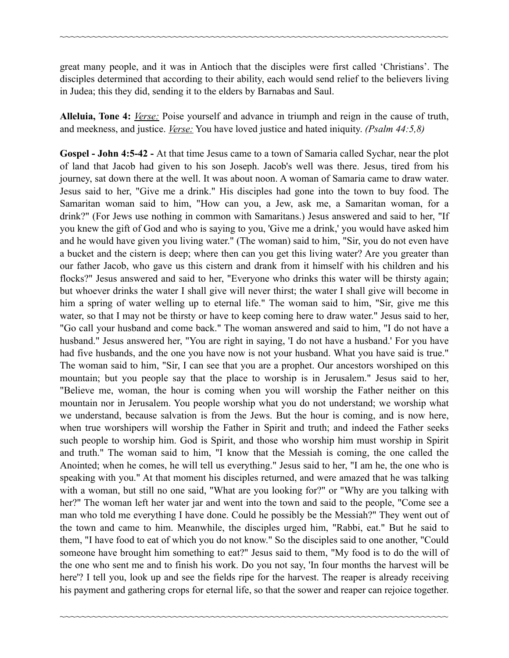great many people, and it was in Antioch that the disciples were first called 'Christians'. The disciples determined that according to their ability, each would send relief to the believers living in Judea; this they did, sending it to the elders by Barnabas and Saul.

~~~~~~~~~~~~~~~~~~~~~~~~~~~~~~~~~~~~~~~~~~~~~~~~~~~~~~~~~~~~~~~~~~~~~~~~

**Alleluia, Tone 4:** *Verse:* Poise yourself and advance in triumph and reign in the cause of truth, and meekness, and justice. *Verse:* You have loved justice and hated iniquity. *(Psalm 44:5,8)* 

**Gospel - John 4:5-42 -** At that time Jesus came to a town of Samaria called Sychar, near the plot of land that Jacob had given to his son Joseph. Jacob's well was there. Jesus, tired from his journey, sat down there at the well. It was about noon. A woman of Samaria came to draw water. Jesus said to her, "Give me a drink." His disciples had gone into the town to buy food. The Samaritan woman said to him, "How can you, a Jew, ask me, a Samaritan woman, for a drink?" (For Jews use nothing in common with Samaritans.) Jesus answered and said to her, "If you knew the gift of God and who is saying to you, 'Give me a drink,' you would have asked him and he would have given you living water." (The woman) said to him, "Sir, you do not even have a bucket and the cistern is deep; where then can you get this living water? Are you greater than our father Jacob, who gave us this cistern and drank from it himself with his children and his flocks?" Jesus answered and said to her, "Everyone who drinks this water will be thirsty again; but whoever drinks the water I shall give will never thirst; the water I shall give will become in him a spring of water welling up to eternal life." The woman said to him, "Sir, give me this water, so that I may not be thirsty or have to keep coming here to draw water." Jesus said to her, "Go call your husband and come back." The woman answered and said to him, "I do not have a husband." Jesus answered her, "You are right in saying, 'I do not have a husband.' For you have had five husbands, and the one you have now is not your husband. What you have said is true." The woman said to him, "Sir, I can see that you are a prophet. Our ancestors worshiped on this mountain; but you people say that the place to worship is in Jerusalem." Jesus said to her, "Believe me, woman, the hour is coming when you will worship the Father neither on this mountain nor in Jerusalem. You people worship what you do not understand; we worship what we understand, because salvation is from the Jews. But the hour is coming, and is now here, when true worshipers will worship the Father in Spirit and truth; and indeed the Father seeks such people to worship him. God is Spirit, and those who worship him must worship in Spirit and truth." The woman said to him, "I know that the Messiah is coming, the one called the Anointed; when he comes, he will tell us everything." Jesus said to her, "I am he, the one who is speaking with you." At that moment his disciples returned, and were amazed that he was talking with a woman, but still no one said, "What are you looking for?" or "Why are you talking with her?" The woman left her water jar and went into the town and said to the people, "Come see a man who told me everything I have done. Could he possibly be the Messiah?" They went out of the town and came to him. Meanwhile, the disciples urged him, "Rabbi, eat." But he said to them, "I have food to eat of which you do not know." So the disciples said to one another, "Could someone have brought him something to eat?" Jesus said to them, "My food is to do the will of the one who sent me and to finish his work. Do you not say, 'In four months the harvest will be here'? I tell you, look up and see the fields ripe for the harvest. The reaper is already receiving his payment and gathering crops for eternal life, so that the sower and reaper can rejoice together.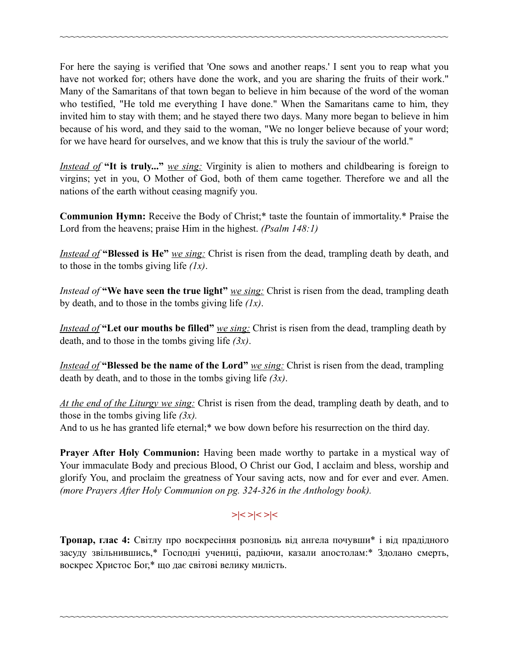For here the saying is verified that 'One sows and another reaps.' I sent you to reap what you have not worked for; others have done the work, and you are sharing the fruits of their work." Many of the Samaritans of that town began to believe in him because of the word of the woman who testified, "He told me everything I have done." When the Samaritans came to him, they invited him to stay with them; and he stayed there two days. Many more began to believe in him because of his word, and they said to the woman, "We no longer believe because of your word; for we have heard for ourselves, and we know that this is truly the saviour of the world."

~~~~~~~~~~~~~~~~~~~~~~~~~~~~~~~~~~~~~~~~~~~~~~~~~~~~~~~~~~~~~~~~~~~~~~~~

*Instead of* **"It is truly..."** *we sing:* Virginity is alien to mothers and childbearing is foreign to virgins; yet in you, O Mother of God, both of them came together. Therefore we and all the nations of the earth without ceasing magnify you.

**Communion Hymn:** Receive the Body of Christ;\* taste the fountain of immortality.\* Praise the Lord from the heavens; praise Him in the highest. *(Psalm 148:1)*

*Instead of* **"Blessed is He"** *we sing:* Christ is risen from the dead, trampling death by death, and to those in the tombs giving life *(1x)*.

*Instead of* **"We have seen the true light"** *<u>we sing:</u>* Christ is risen from the dead, trampling death by death, and to those in the tombs giving life *(1x)*.

*Instead of* **"Let our mouths be filled"** *we sing:* Christ is risen from the dead, trampling death by death, and to those in the tombs giving life *(3x)*.

*Instead of* **"Blessed be the name of the Lord"** *we sing:* Christ is risen from the dead, trampling death by death, and to those in the tombs giving life *(3x)*.

*At the end of the Liturgy we sing:* Christ is risen from the dead, trampling death by death, and to those in the tombs giving life *(3x).*

And to us he has granted life eternal;<sup>\*</sup> we bow down before his resurrection on the third day.

**Prayer After Holy Communion:** Having been made worthy to partake in a mystical way of Your immaculate Body and precious Blood, O Christ our God, I acclaim and bless, worship and glorify You, and proclaim the greatness of Your saving acts, now and for ever and ever. Amen. *(more Prayers After Holy Communion on pg. 324-326 in the Anthology book).* 

### **>|< >|< >|<**

**Тропар, глас 4:** Світлу про воскресіння розповідь від ангела почувши\* і від прадідного засуду звільнившись,\* Господні учениці, радіючи, казали апостолам:\* Здолано смерть, воскрес Христос Бог,\* що дає світові велику милість.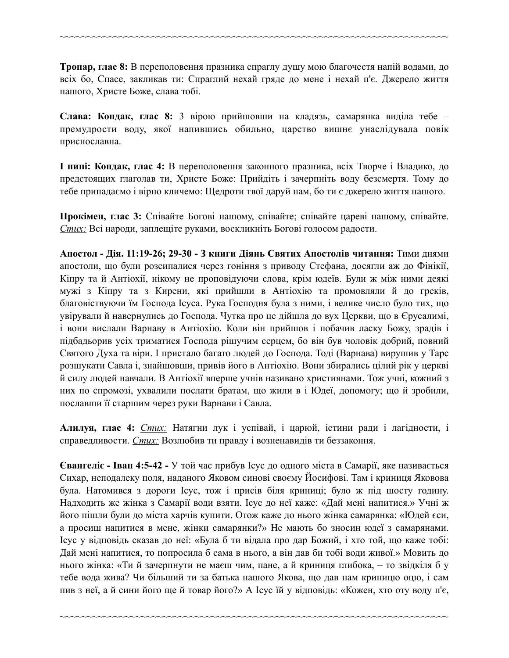**Тропар, глас 8:** В переполовення празника спраглу душу мою благочестя напій водами, до всіх бо, Спасе, закликав ти: Спраглий нехай гряде до мене і нехай п'є. Джерело життя нашого, Христе Боже, слава тобі.

~~~~~~~~~~~~~~~~~~~~~~~~~~~~~~~~~~~~~~~~~~~~~~~~~~~~~~~~~~~~~~~~~~~~~~~~

**Слава: Кондак, глас 8:** 3 вірою прийшовши на кладязь, самарянка виділа тебе – премудрости воду, якої напившись обильно, царство вишнє унаслідувала повік приснославна.

**І нині: Кондак, глас 4:** В переполовення законного празника, всіх Творче і Владико, до предстоящих глаголав ти, Христе Боже: Прийдіть і зачерпніть воду безсмертя. Тому до тебе припадаємо і вірно кличемо: Щедроти твої даруй нам, бо ти є джерело життя нашого.

**Прокімен, глас 3:** Співайте Богові нашому, співайте; співайте цареві нашому, співайте. *Стих:* Всі народи, заплещіте руками, воскликніть Богові голосом радости.

**Апостол - Дія. 11:19-26; 29-30 - З книги Діянь Святих Апостолів читання:** Тими днями апостоли, що були розсипалися через гоніння з приводу Стефана, досягли аж до Фінікії, Кіпру та й Антіохії, нікому не проповідуючи слова, крім юдеїв. Були ж між ними деякі мужі з Кіпру та з Кирени, які прийшли в Антіохію та промовляли й до греків, благовіствуючи їм Господа Ісуса. Рука Господня була з ними, і велике число було тих, що увірували й навернулись до Господа. Чутка про це дійшла до вух Церкви, що в Єрусалимі, і вони вислали Варнаву в Антіохію. Коли він прийшов і побачив ласку Божу, зрадів і підбадьорив усіх триматися Господа рішучим серцем, бо він був чоловік добрий, повний Святого Духа та віри. І пристало багато людей до Господа. Тоді (Варнава) вирушив у Тарс розшукати Савла і, знайшовши, привів його в Антіохію. Вони збирались цілий рік у церкві й силу людей навчали. В Антіохії вперше учнів називано християнами. Тож учні, кожний з них по спромозі, ухвалили послати братам, що жили в і Юдеї, допомогу; що й зробили, пославши її старшим через руки Варнави і Савла.

**Алилуя, глас 4:** *Стих:* Натягни лук і успівай, і царюй, істини ради і лагідности, і справедливости. *Стих:* Возлюбив ти правду і возненавидів ти беззаконня.

**Євангеліє - Іван 4:5-42 -** У той час прибув Ісус до одного міста в Самарії, яке називається Сихар, неподалеку поля, наданого Яковом синові своєму Йосифові. Там і криниця Яковова була. Натомився з дороги Ісус, тож і присів біля криниці; було ж під шосту годину. Надходить же жінка з Самарії води взяти. Ісус до неї каже: «Дай мені напитися.» Учні ж його пішли були до міста харчів купити. Отож каже до нього жінка самарянка: «Юдей єси, а просиш напитися в мене, жінки самарянки?» Не мають бо зносин юдеї з самарянами. Ісус у відповідь сказав до неї: «Була б ти відала про дар Божий, і хто той, що каже тобі: Дай мені напитися, то попросила б сама в нього, а він дав би тобі води живої.» Мовить до нього жінка: «Ти й зачерпнути не маєш чим, пане, а й криниця глибока, – то звідкіля б у тебе вода жива? Чи більший ти за батька нашого Якова, що дав нам криницю оцю, і сам пив з неї, а й сини його ще й товар його?» А Ісус їй у відповідь: «Кожен, хто оту воду п'є,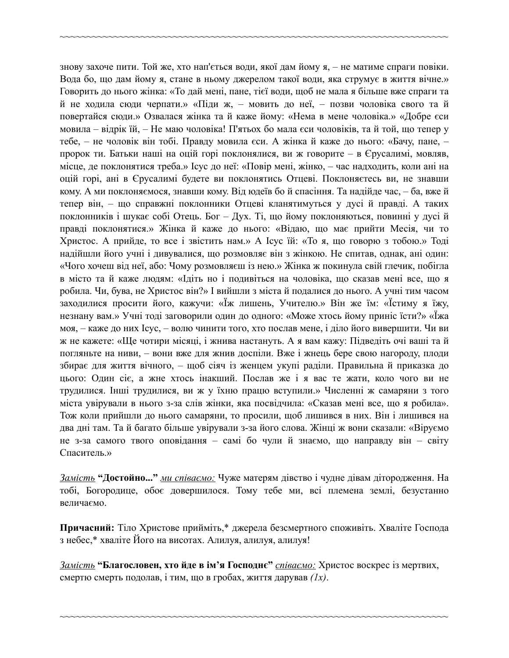знову захоче пити. Той же, хто нап'ється води, якої дам йому я, – не матиме спраги повіки. Вода бо, що дам йому я, стане в ньому джерелом такої води, яка струмує в життя вічне.» Говорить до нього жінка: «То дай мені, пане, тієї води, щоб не мала я більше вже спраги та й не ходила сюди черпати.» «Піди ж, – мовить до неї, – позви чоловіка свого та й повертайся сюди.» Озвалася жінка та й каже йому: «Нема в мене чоловіка.» «Добре єси мовила – відрік їй, – Не маю чоловіка! П'ятьох бо мала єси чоловіків, та й той, що тепер у тебе, – не чоловік він тобі. Правду мовила єси. А жінка й каже до нього: «Бачу, пане, – пророк ти. Батьки наші на оцій горі поклонялися, ви ж говорите – в Єрусалимі, мовляв, місце, де поклонятися треба.» Ісус до неї: «Повір мені, жінко, – час надходить, коли ані на оцій горі, ані в Єрусалимі будете ви поклонятись Отцеві. Поклоняєтесь ви, не знавши кому. А ми поклоняємося, знавши кому. Від юдеїв бо й спасіння. Та надійде час, – ба, вже й тепер він, – що справжні поклонники Отцеві кланятимуться у дусі й правді. А таких поклонників і шукає собі Отець. Бог – Дух. Ті, що йому поклоняються, повинні у дусі й правді поклонятися.» Жінка й каже до нього: «Відаю, що має прийти Месія, чи то Христос. А прийде, то все і звістить нам.» А Ісус їй: «То я, що говорю з тобою.» Тоді надійшли його учні і дивувалися, що розмовляє він з жінкою. Не спитав, однак, ані один: «Чого хочеш від неї, або: Чому розмовляєш із нею.» Жінка ж покинула свій глечик, побігла в місто та й каже людям: «Ідіть но і подивіться на чоловіка, що сказав мені все, що я робила. Чи, бува, не Христос він?» І вийшли з міста й подалися до нього. А учні тим часом заходилися просити його, кажучи: «Їж лишень, Учителю.» Він же їм: «Їстиму я їжу, незнану вам.» Учні тоді заговорили один до одного: «Може хтось йому приніс їсти?» «Їжа моя, – каже до них Ісус, – волю чинити того, хто послав мене, і діло його вивершити. Чи ви ж не кажете: «Ще чотири місяці, і жнива настануть. А я вам кажу: Підведіть очі ваші та й погляньте на ниви, – вони вже для жнив доспіли. Вже і жнець бере свою нагороду, плоди збирає для життя вічного, – щоб сіяч із женцем укупі раділи. Правильна й приказка до цього: Один сіє, а жне хтось інакший. Послав же і я вас те жати, коло чого ви не трудилися. Інші трудилися, ви ж у їхню працю вступили.» Численні ж самаряни з того міста увірували в нього з-за слів жінки, яка посвідчила: «Сказав мені все, що я робила». Тож коли прийшли до нього самаряни, то просили, щоб лишився в них. Він і лишився на два дні там. Та й багато більше увірували з-за його слова. Жінці ж вони сказали: «Віруємо не з-за самого твого оповідання – самі бо чули й знаємо, що направду він – світу Спаситель.»

~~~~~~~~~~~~~~~~~~~~~~~~~~~~~~~~~~~~~~~~~~~~~~~~~~~~~~~~~~~~~~~~~~~~~~~~

*Замість* **"Достойно..."** *ми співаємо:* Чуже матерям дівство і чудне дівам дітородження. На тобі, Богородице, обоє довершилося. Тому тебе ми, всі племена землі, безустанно величаємо.

**Причасний:** Тіло Христове прийміть,\* джерела безсмертного споживіть. Хваліте Господа з небес,\* хваліте Його на висотах. Алилуя, aлилуя, aлилуя!

*Замість* **"Благословен, хто йде в ім'я Господнє"** *співаємо:* Христос воскрес із мертвих, смертю смерть подолав, і тим, що в гробах, життя дарував *(1x)*.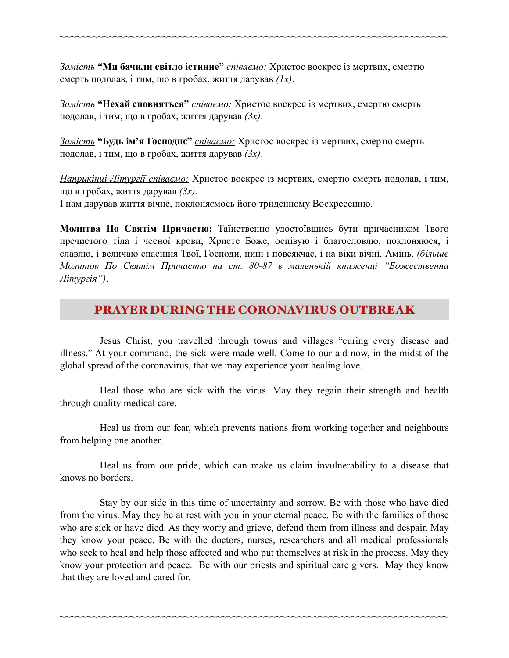*Замість* **"Ми бачили світло істинне"** *співаємо:* Христос воскрес із мертвих, смертю смерть подолав, і тим, що в гробах, життя дарував *(1x)*.

~~~~~~~~~~~~~~~~~~~~~~~~~~~~~~~~~~~~~~~~~~~~~~~~~~~~~~~~~~~~~~~~~~~~~~~~

*Замість* **"Нехай сповняться"** *співаємо:* Христос воскрес із мертвих, смертю смерть подолав, і тим, що в гробах, життя дарував *(3x)*.

*Замість* **"Будь ім'я Господнє"** *співаємо:* Христос воскрес із мертвих, смертю смерть подолав, і тим, що в гробах, життя дарував *(3x)*.

*Наприкінці Літургії співаємо:* Христос воскрес із мертвих, смертю смерть подолав, і тим, що в гробах, життя дарував *(3x).* І нам дарував життя вічне, поклоняємось його триденному Воскресенню.

**Молитва По Святім Причастю:** Таїнственно удостоївшись бути причасником Твого пречистого тіла і чесної крови, Христе Боже, оспівую і благословлю, поклоняюся, і славлю, і величаю спасіння Твої, Господи, нині і повсякчас, і на віки вічні. Амінь. *(більше Молитов По Святім Причастю на ст. 80-87 в маленькій книжечці "Божественна Літургія")*.

### PRAYER DURING THE CORONAVIRUS OUTBREAK

Jesus Christ, you travelled through towns and villages "curing every disease and illness." At your command, the sick were made well. Come to our aid now, in the midst of the global spread of the coronavirus, that we may experience your healing love.

Heal those who are sick with the virus. May they regain their strength and health through quality medical care.

Heal us from our fear, which prevents nations from working together and neighbours from helping one another.

Heal us from our pride, which can make us claim invulnerability to a disease that knows no borders.

Stay by our side in this time of uncertainty and sorrow. Be with those who have died from the virus. May they be at rest with you in your eternal peace. Be with the families of those who are sick or have died. As they worry and grieve, defend them from illness and despair. May they know your peace. Be with the doctors, nurses, researchers and all medical professionals who seek to heal and help those affected and who put themselves at risk in the process. May they know your protection and peace. Be with our priests and spiritual care givers. May they know that they are loved and cared for.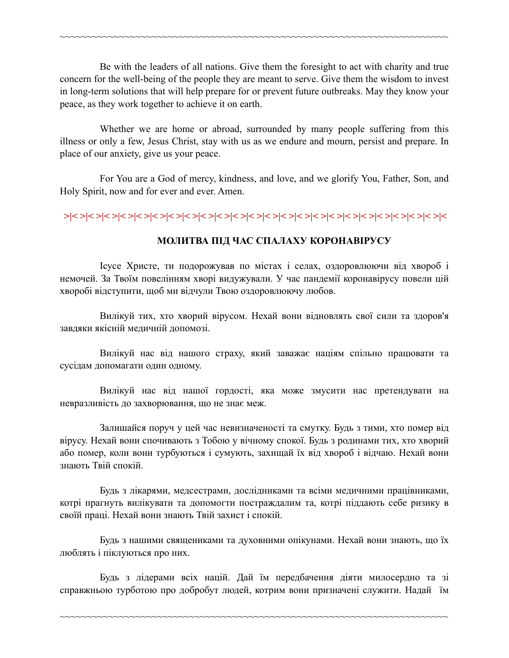Be with the leaders of all nations. Give them the foresight to act with charity and true concern for the well-being of the people they are meant to serve. Give them the wisdom to invest in long-term solutions that will help prepare for or prevent future outbreaks. May they know your peace, as they work together to achieve it on earth.

~~~~~~~~~~~~~~~~~~~~~~~~~~~~~~~~~~~~~~~~~~~~~~~~~~~~~~~~~~~~~~~~~~~~~~~~

Whether we are home or abroad, surrounded by many people suffering from this illness or only a few, Jesus Christ, stay with us as we endure and mourn, persist and prepare. In place of our anxiety, give us your peace.

For You are a God of mercy, kindness, and love, and we glorify You, Father, Son, and Holy Spirit, now and for ever and ever. Amen.

 **>|< >|< >|< >|< >|< >|< >|< >|< >|< >|< >|< >|< >|< >|< >|< >|< >|< >|< >|< >|< >|< >|< >|< >|<** 

#### **МОЛИТВА ПІД ЧАС СПАЛАХУ КОРОНАВІРУСУ**

Ісусе Христе, ти подорожував по містах і селах, оздоровлюючи від хвороб і немочей. За Твоїм повелінням хворі видужували. У час пандемії коронавірусу повели цій хворобі відступити, щоб ми відчули Твою оздоровлюючу любов.

Вилікуй тих, хто хворий вірусом. Нехай вони відновлять свої сили та здоров'я завдяки якісній медичній допомозі.

Вилікуй нас від нашого страху, який заважає націям спільно працювати та сусідам допомагати один одному.

Вилікуй нас від нашої гордості, яка може змусити нас претендувати на невразливість до захворювання, що не знає меж.

Залишайся поруч у цей час невизначеності та смутку. Будь з тими, хто помер від вірусу. Нехай вони спочивають з Тобою у вічному спокої. Будь з родинами тих, хто хворий або помер, коли вони турбуються і сумують, захищай їх від хвороб і відчаю. Нехай вони знають Твій спокій.

Будь з лікарями, медсестрами, дослідниками та всіми медичними працівниками, котрі прагнуть вилікувати та допомогти постраждалим та, котрі піддають себе ризику в своїй праці. Нехай вони знають Твій захист і спокій.

Будь з нашими священиками та духовними опікунами. Нехай вони знають, що їх люблять і піклуються про них.

Будь з лідерами всіх націй. Дай їм передбачення діяти милосердно та зі справжньою турботою про добробут людей, котрим вони призначені служити. Надай їм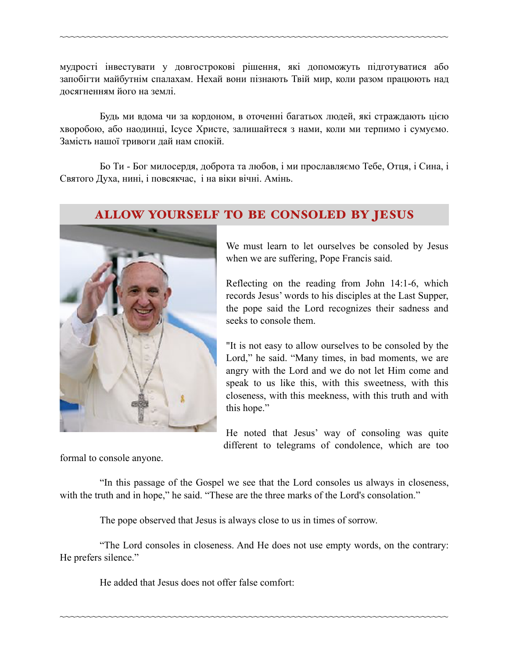мудрості інвестувати у довгострокові рішення, які допоможуть підготуватися або запобігти майбутнім спалахам. Нехай вони пізнають Твій мир, коли разом працюють над досягненням його на землі.

~~~~~~~~~~~~~~~~~~~~~~~~~~~~~~~~~~~~~~~~~~~~~~~~~~~~~~~~~~~~~~~~~~~~~~~~

Будь ми вдома чи за кордоном, в оточенні багатьох людей, які страждають цією хворобою, або наодинці, Ісусе Христе, залишайтеся з нами, коли ми терпимо і сумуємо. Замість нашої тривоги дай нам спокій.

Бо Ти - Бог милосердя, доброта та любов, і ми прославляємо Тебе, Отця, і Сина, і Святого Духа, нині, і повсякчас, і на віки вічні. Амінь.

#### ALLOW YOURSELF TO BE CONSOLED BY JESUS



We must learn to let ourselves be consoled by Jesus when we are suffering, Pope Francis said.

Reflecting on the reading from John 14:1-6, which records Jesus' words to his disciples at the Last Supper, the pope said the Lord recognizes their sadness and seeks to console them.

"It is not easy to allow ourselves to be consoled by the Lord," he said. "Many times, in bad moments, we are angry with the Lord and we do not let Him come and speak to us like this, with this sweetness, with this closeness, with this meekness, with this truth and with this hope."

He noted that Jesus' way of consoling was quite different to telegrams of condolence, which are too

formal to console anyone.

"In this passage of the Gospel we see that the Lord consoles us always in closeness, with the truth and in hope," he said. "These are the three marks of the Lord's consolation."

The pope observed that Jesus is always close to us in times of sorrow.

"The Lord consoles in closeness. And He does not use empty words, on the contrary: He prefers silence."

~~~~~~~~~~~~~~~~~~~~~~~~~~~~~~~~~~~~~~~~~~~~~~~~~~~~~~~~~~~~~~~~~~~~~~~~

He added that Jesus does not offer false comfort: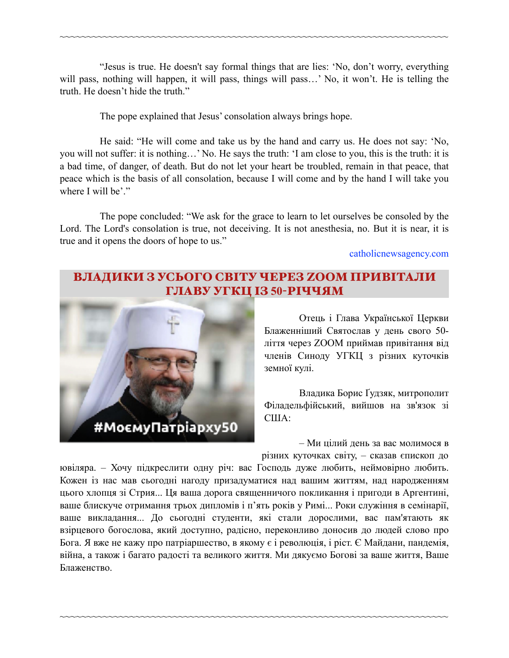"Jesus is true. He doesn't say formal things that are lies: 'No, don't worry, everything will pass, nothing will happen, it will pass, things will pass...' No, it won't. He is telling the truth. He doesn't hide the truth."

~~~~~~~~~~~~~~~~~~~~~~~~~~~~~~~~~~~~~~~~~~~~~~~~~~~~~~~~~~~~~~~~~~~~~~~~

The pope explained that Jesus' consolation always brings hope.

He said: "He will come and take us by the hand and carry us. He does not say: 'No, you will not suffer: it is nothing…' No. He says the truth: 'I am close to you, this is the truth: it is a bad time, of danger, of death. But do not let your heart be troubled, remain in that peace, that peace which is the basis of all consolation, because I will come and by the hand I will take you where I will be'."

The pope concluded: "We ask for the grace to learn to let ourselves be consoled by the Lord. The Lord's consolation is true, not deceiving. It is not anesthesia, no. But it is near, it is true and it opens the doors of hope to us."

#### [catholicnewsagency.com](http://catholicnewsagency.com)

### ВЛАДИКИ З УСЬОГО СВІТУ ЧЕРЕЗ ZOOM ПРИВІТАЛИ ГЛАВУ УГКЦ ІЗ **50**-РІЧЧЯМ



 Отець і Глава Української Церкви Блаженніший Святослав у день свого 50 ліття через ZOOM приймав привітання від членів Синоду УГКЦ з різних куточків земної кулі.

 Владика Борис Ґудзяк, митрополит Філадельфійський, вийшов на зв'язок зі США:

 – Ми цілий день за вас молимося в різних куточках світу, – сказав єпископ до

ювіляра. – Хочу підкреслити одну річ: вас Господь дуже любить, неймовірно любить. Кожен із нас мав сьогодні нагоду призадуматися над вашим життям, над народженням цього хлопця зі Стрия... Ця ваша дорога священничого покликання і пригоди в Аргентині, ваше блискуче отримання трьох дипломів і п'ять років у Римі... Роки служіння в семінарії, ваше викладання... До сьогодні студенти, які стали дорослими, вас пам'ятають як взірцевого богослова, який доступно, радісно, переконливо доносив до людей слово про Бога. Я вже не кажу про патріаршество, в якому є і революція, і ріст. Є Майдани, пандемія, війна, а також і багато радості та великого життя. Ми дякуємо Богові за ваше життя, Ваше Блаженство.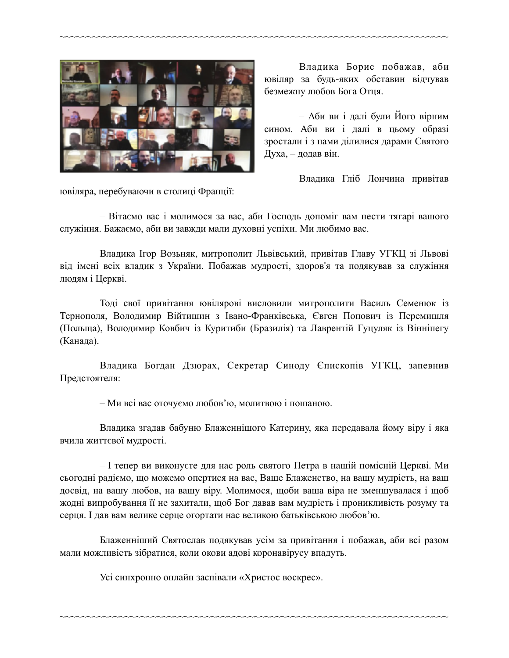

 Владика Борис побажав, аби ювіляр за будь-яких обставин відчував безмежну любов Бога Отця.

 – Аби ви і далі були Його вірним сином. Аби ви і далі в цьому образі зростали і з нами ділилися дарами Святого Духа, – додав він.

Владика Гліб Лончина привітав

ювіляра, перебуваючи в столиці Франції:

– Вітаємо вас і молимося за вас, аби Господь допоміг вам нести тягарі вашого служіння. Бажаємо, аби ви завжди мали духовні успіхи. Ми любимо вас.

~~~~~~~~~~~~~~~~~~~~~~~~~~~~~~~~~~~~~~~~~~~~~~~~~~~~~~~~~~~~~~~~~~~~~~~~

Владика Ігор Возьняк, митрополит Львівський, привітав Главу УГКЦ зі Львові від імені всіх владик з України. Побажав мудрості, здоров'я та подякував за служіння людям і Церкві.

Тоді свої привітання ювілярові висловили митрополити Василь Семенюк із Тернополя, Володимир Війтишин з Івано-Франківська, Євген Попович із Перемишля (Польща), Володимир Ковбич із Куритиби (Бразилія) та Лаврентій Гуцуляк із Вінніпегу (Канада).

Владика Богдан Дзюрах, Секретар Синоду Єпископів УГКЦ, запевнив Предстоятеля:

– Ми всі вас оточуємо любов'ю, молитвою і пошаною.

Владика згадав бабуню Блаженнішого Катерину, яка передавала йому віру і яка вчила життєвої мудрості.

– І тепер ви виконуєте для нас роль святого Петра в нашій помісній Церкві. Ми сьогодні радіємо, що можемо опертися на вас, Ваше Блаженство, на вашу мудрість, на ваш досвід, на вашу любов, на вашу віру. Молимося, щоби ваша віра не зменшувалася і щоб жодні випробування її не захитали, щоб Бог давав вам мудрість і проникливість розуму та серця. І дав вам велике серце огортати нас великою батьківською любов'ю.

Блаженніший Святослав подякував усім за привітання і побажав, аби всі разом мали можливість зібратися, коли окови адові коронавірусу впадуть.

~~~~~~~~~~~~~~~~~~~~~~~~~~~~~~~~~~~~~~~~~~~~~~~~~~~~~~~~~~~~~~~~~~~~~~~~

Усі синхронно онлайн заспівали «Христос воскрес».